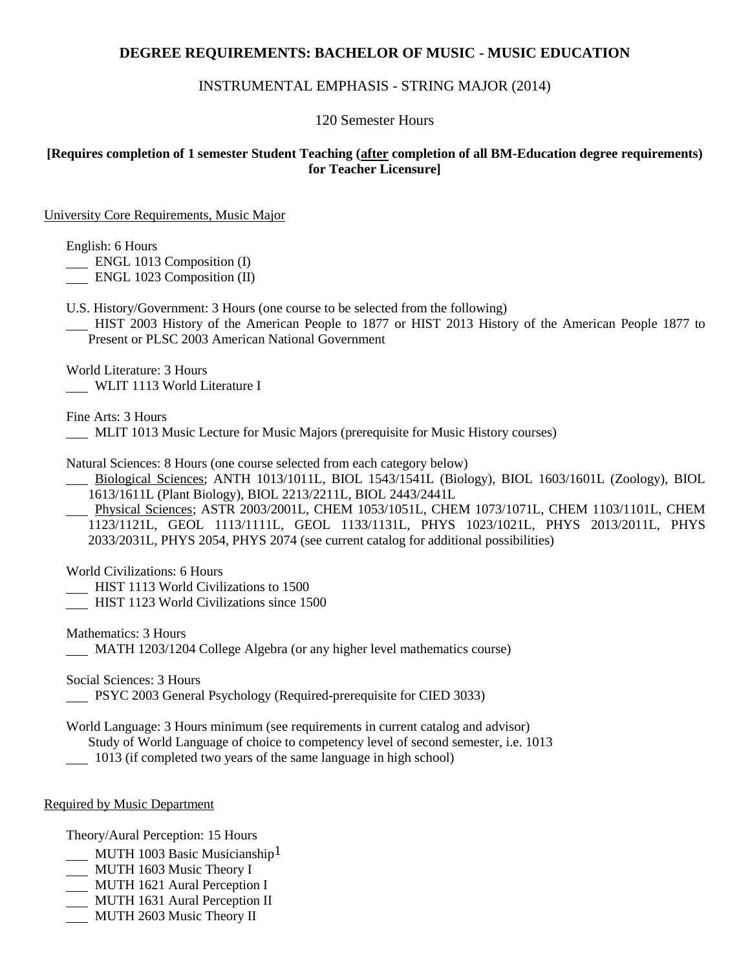# **DEGREE REQUIREMENTS: BACHELOR OF MUSIC - MUSIC EDUCATION**

## INSTRUMENTAL EMPHASIS - STRING MAJOR (2014)

#### 120 Semester Hours

## **[Requires completion of 1 semester Student Teaching (after completion of all BM-Education degree requirements) for Teacher Licensure]**

University Core Requirements, Music Major

English: 6 Hours

**ENGL 1013 Composition (I)** 

ENGL 1023 Composition (II)

U.S. History/Government: 3 Hours (one course to be selected from the following)

 HIST 2003 History of the American People to 1877 or HIST 2013 History of the American People 1877 to Present or PLSC 2003 American National Government

World Literature: 3 Hours WLIT 1113 World Literature I

Fine Arts: 3 Hours

MLIT 1013 Music Lecture for Music Majors (prerequisite for Music History courses)

Natural Sciences: 8 Hours (one course selected from each category below)

 Biological Sciences; ANTH 1013/1011L, BIOL 1543/1541L (Biology), BIOL 1603/1601L (Zoology), BIOL 1613/1611L (Plant Biology), BIOL 2213/2211L, BIOL 2443/2441L

 Physical Sciences; ASTR 2003/2001L, CHEM 1053/1051L, CHEM 1073/1071L, CHEM 1103/1101L, CHEM 1123/1121L, GEOL 1113/1111L, GEOL 1133/1131L, PHYS 1023/1021L, PHYS 2013/2011L, PHYS 2033/2031L, PHYS 2054, PHYS 2074 (see current catalog for additional possibilities)

World Civilizations: 6 Hours

HIST 1113 World Civilizations to 1500

HIST 1123 World Civilizations since 1500

Mathematics: 3 Hours MATH 1203/1204 College Algebra (or any higher level mathematics course)

Social Sciences: 3 Hours

PSYC 2003 General Psychology (Required-prerequisite for CIED 3033)

World Language: 3 Hours minimum (see requirements in current catalog and advisor) Study of World Language of choice to competency level of second semester, i.e. 1013

1013 (if completed two years of the same language in high school)

#### Required by Music Department

Theory/Aural Perception: 15 Hours

- MUTH 1003 Basic Musicianship<sup>1</sup>
- MUTH 1603 Music Theory I
- MUTH 1621 Aural Perception I
- MUTH 1631 Aural Perception II
- MUTH 2603 Music Theory II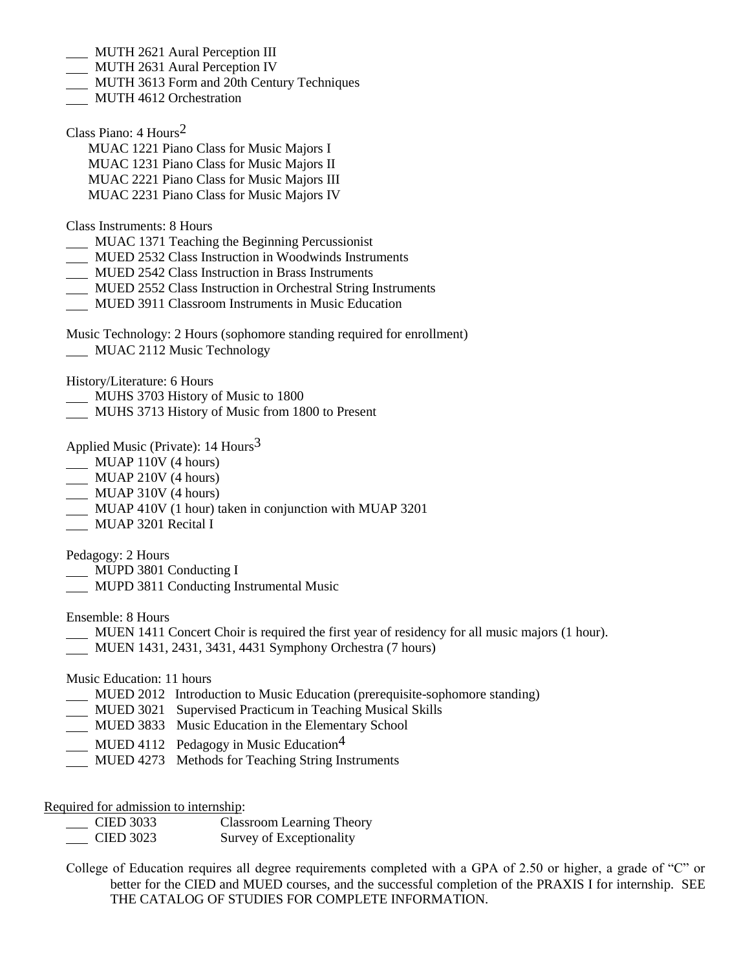- MUTH 2621 Aural Perception III
- MUTH 2631 Aural Perception IV
- MUTH 3613 Form and 20th Century Techniques
- MUTH 4612 Orchestration

Class Piano: 4 Hours2

- MUAC 1221 Piano Class for Music Majors I
- MUAC 1231 Piano Class for Music Majors II
- MUAC 2221 Piano Class for Music Majors III
- MUAC 2231 Piano Class for Music Majors IV

Class Instruments: 8 Hours

- MUAC 1371 Teaching the Beginning Percussionist
- MUED 2532 Class Instruction in Woodwinds Instruments
- MUED 2542 Class Instruction in Brass Instruments
- MUED 2552 Class Instruction in Orchestral String Instruments
- **MUED 3911 Classroom Instruments in Music Education**

Music Technology: 2 Hours (sophomore standing required for enrollment) **MUAC 2112 Music Technology** 

History/Literature: 6 Hours

- MUHS 3703 History of Music to 1800
- MUHS 3713 History of Music from 1800 to Present

Applied Music (Private):  $14$  Hours<sup>3</sup>

- MUAP 110V (4 hours)
- MUAP 210V (4 hours)
- MUAP 310V (4 hours)
- MUAP 410V (1 hour) taken in conjunction with MUAP 3201
- **MUAP 3201 Recital I**

Pedagogy: 2 Hours

- MUPD 3801 Conducting I
- MUPD 3811 Conducting Instrumental Music

Ensemble: 8 Hours

- MUEN 1411 Concert Choir is required the first year of residency for all music majors (1 hour).
- MUEN 1431, 2431, 3431, 4431 Symphony Orchestra (7 hours)

Music Education: 11 hours

- MUED 2012 Introduction to Music Education (prerequisite-sophomore standing)
- MUED 3021 Supervised Practicum in Teaching Musical Skills
- MUED 3833 Music Education in the Elementary School
- MUED 4112 Pedagogy in Music Education<sup>4</sup>
- MUED 4273 Methods for Teaching String Instruments

Required for admission to internship:

| <b>CIED 3033</b> | <b>Classroom Learning Theory</b> |
|------------------|----------------------------------|
| <b>CIED 3023</b> | Survey of Exceptionality         |

College of Education requires all degree requirements completed with a GPA of 2.50 or higher, a grade of "C" or better for the CIED and MUED courses, and the successful completion of the PRAXIS I for internship. SEE THE CATALOG OF STUDIES FOR COMPLETE INFORMATION.